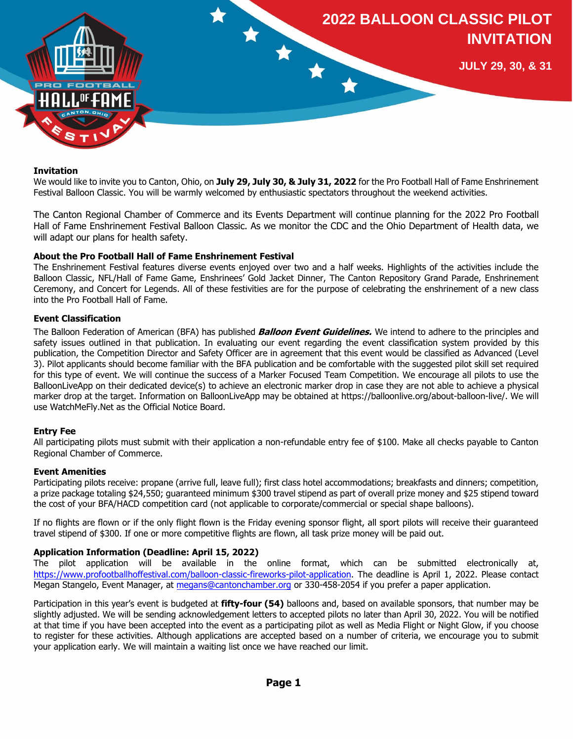

#### **Invitation**

We would like to invite you to Canton, Ohio, on **July 29, July 30, & July 31, 2022** for the Pro Football Hall of Fame Enshrinement Festival Balloon Classic. You will be warmly welcomed by enthusiastic spectators throughout the weekend activities.

The Canton Regional Chamber of Commerce and its Events Department will continue planning for the 2022 Pro Football Hall of Fame Enshrinement Festival Balloon Classic. As we monitor the CDC and the Ohio Department of Health data, we will adapt our plans for health safety.

### **About the Pro Football Hall of Fame Enshrinement Festival**

The Enshrinement Festival features diverse events enjoyed over two and a half weeks. Highlights of the activities include the Balloon Classic, NFL/Hall of Fame Game, Enshrinees' Gold Jacket Dinner, The Canton Repository Grand Parade, Enshrinement Ceremony, and Concert for Legends. All of these festivities are for the purpose of celebrating the enshrinement of a new class into the Pro Football Hall of Fame.

### **Event Classification**

The Balloon Federation of American (BFA) has published **Balloon Event Guidelines.** We intend to adhere to the principles and safety issues outlined in that publication. In evaluating our event regarding the event classification system provided by this publication, the Competition Director and Safety Officer are in agreement that this event would be classified as Advanced (Level 3). Pilot applicants should become familiar with the BFA publication and be comfortable with the suggested pilot skill set required for this type of event. We will continue the success of a Marker Focused Team Competition. We encourage all pilots to use the BalloonLiveApp on their dedicated device(s) to achieve an electronic marker drop in case they are not able to achieve a physical marker drop at the target. Information on BalloonLiveApp may be obtained at https://balloonlive.org/about-balloon-live/. We will use WatchMeFly.Net as the Official Notice Board.

### **Entry Fee**

All participating pilots must submit with their application a non-refundable entry fee of \$100. Make all checks payable to Canton Regional Chamber of Commerce.

#### **Event Amenities**

Participating pilots receive: propane (arrive full, leave full); first class hotel accommodations; breakfasts and dinners; competition, a prize package totaling \$24,550; guaranteed minimum \$300 travel stipend as part of overall prize money and \$25 stipend toward the cost of your BFA/HACD competition card (not applicable to corporate/commercial or special shape balloons).

If no flights are flown or if the only flight flown is the Friday evening sponsor flight, all sport pilots will receive their guaranteed travel stipend of \$300. If one or more competitive flights are flown, all task prize money will be paid out.

### **Application Information (Deadline: April 15, 2022)**

The pilot application will be available in the online format, which can be submitted electronically at, [https://www.profootballhoffestival.com/balloon-classic-fireworks-pilot-application.](https://www.profootballhoffestival.com/balloon-classic-fireworks-pilot-application) The deadline is April 1, 2022. Please contact Megan Stangelo, Event Manager, at [megans@cantonchamber.org](mailto:megans@cantonchamber.org) or 330-458-2054 if you prefer a paper application.

Participation in this year's event is budgeted at **fifty-four (54)** balloons and, based on available sponsors, that number may be slightly adjusted. We will be sending acknowledgement letters to accepted pilots no later than April 30, 2022. You will be notified at that time if you have been accepted into the event as a participating pilot as well as Media Flight or Night Glow, if you choose to register for these activities. Although applications are accepted based on a number of criteria, we encourage you to submit your application early. We will maintain a waiting list once we have reached our limit.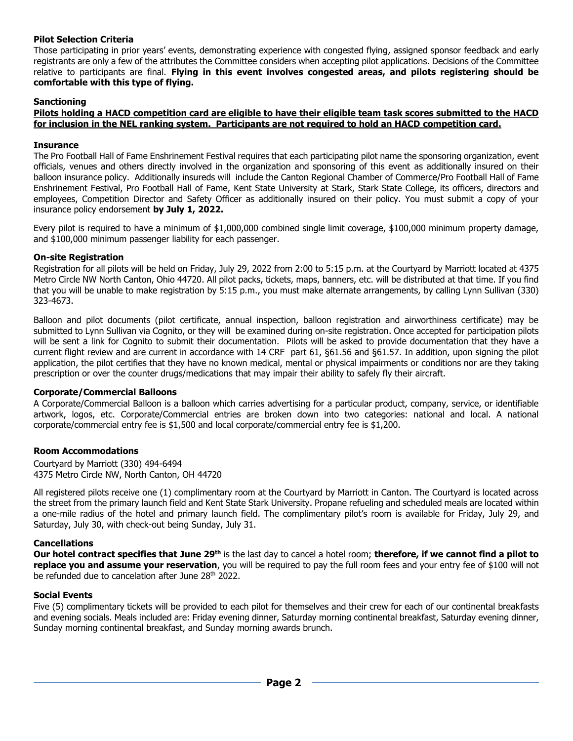## **Pilot Selection Criteria**

Those participating in prior years' events, demonstrating experience with congested flying, assigned sponsor feedback and early registrants are only a few of the attributes the Committee considers when accepting pilot applications. Decisions of the Committee relative to participants are final. **Flying in this event involves congested areas, and pilots registering should be comfortable with this type of flying.**

## **Sanctioning**

**Pilots holding a HACD competition card are eligible to have their eligible team task scores submitted to the HACD for inclusion in the NEL ranking system. Participants are not required to hold an HACD competition card.**

## **Insurance**

The Pro Football Hall of Fame Enshrinement Festival requires that each participating pilot name the sponsoring organization, event officials, venues and others directly involved in the organization and sponsoring of this event as additionally insured on their balloon insurance policy. Additionally insureds will include the Canton Regional Chamber of Commerce/Pro Football Hall of Fame Enshrinement Festival, Pro Football Hall of Fame, Kent State University at Stark, Stark State College, its officers, directors and employees, Competition Director and Safety Officer as additionally insured on their policy. You must submit a copy of your insurance policy endorsement **by July 1, 2022.**

Every pilot is required to have a minimum of \$1,000,000 combined single limit coverage, \$100,000 minimum property damage, and \$100,000 minimum passenger liability for each passenger.

### **On-site Registration**

Registration for all pilots will be held on Friday, July 29, 2022 from 2:00 to 5:15 p.m. at the Courtyard by Marriott located at 4375 Metro Circle NW North Canton, Ohio 44720. All pilot packs, tickets, maps, banners, etc. will be distributed at that time. If you find that you will be unable to make registration by 5:15 p.m., you must make alternate arrangements, by calling Lynn Sullivan (330) 323-4673.

Balloon and pilot documents (pilot certificate, annual inspection, balloon registration and airworthiness certificate) may be submitted to Lynn Sullivan via Cognito, or they will be examined during on-site registration. Once accepted for participation pilots will be sent a link for Cognito to submit their documentation. Pilots will be asked to provide documentation that they have a current flight review and are current in accordance with 14 CRF part 61, §61.56 and §61.57. In addition, upon signing the pilot application, the pilot certifies that they have no known medical, mental or physical impairments or conditions nor are they taking prescription or over the counter drugs/medications that may impair their ability to safely fly their aircraft.

## **Corporate/Commercial Balloons**

A Corporate/Commercial Balloon is a balloon which carries advertising for a particular product, company, service, or identifiable artwork, logos, etc. Corporate/Commercial entries are broken down into two categories: national and local. A national corporate/commercial entry fee is \$1,500 and local corporate/commercial entry fee is \$1,200.

## **Room Accommodations**

Courtyard by Marriott (330) 494-6494 4375 Metro Circle NW, North Canton, OH 44720

All registered pilots receive one (1) complimentary room at the Courtyard by Marriott in Canton. The Courtyard is located across the street from the primary launch field and Kent State Stark University. Propane refueling and scheduled meals are located within a one-mile radius of the hotel and primary launch field. The complimentary pilot's room is available for Friday, July 29, and Saturday, July 30, with check-out being Sunday, July 31.

## **Cancellations**

**Our hotel contract specifies that June 29th** is the last day to cancel a hotel room; **therefore, if we cannot find a pilot to replace you and assume your reservation**, you will be required to pay the full room fees and your entry fee of \$100 will not be refunded due to cancelation after June 28<sup>th</sup> 2022.

### **Social Events**

Five (5) complimentary tickets will be provided to each pilot for themselves and their crew for each of our continental breakfasts and evening socials. Meals included are: Friday evening dinner, Saturday morning continental breakfast, Saturday evening dinner, Sunday morning continental breakfast, and Sunday morning awards brunch.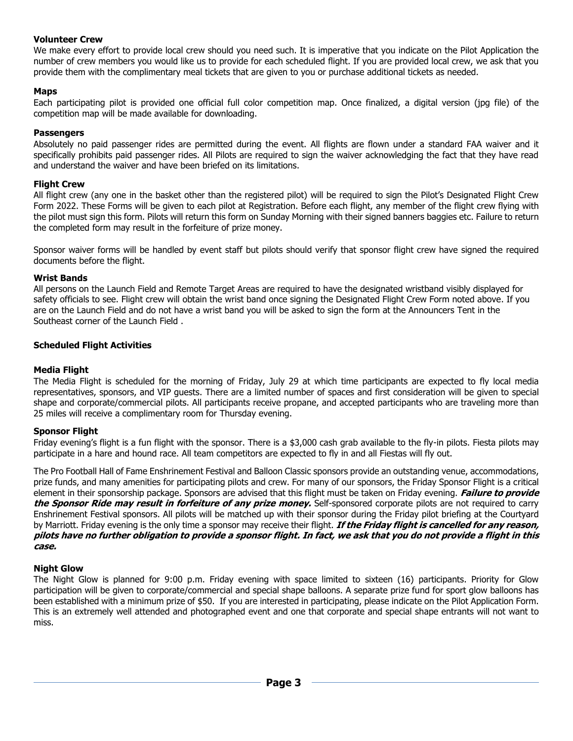## **Volunteer Crew**

We make every effort to provide local crew should you need such. It is imperative that you indicate on the Pilot Application the number of crew members you would like us to provide for each scheduled flight. If you are provided local crew, we ask that you provide them with the complimentary meal tickets that are given to you or purchase additional tickets as needed.

## **Maps**

Each participating pilot is provided one official full color competition map. Once finalized, a digital version (jpg file) of the competition map will be made available for downloading.

## **Passengers**

Absolutely no paid passenger rides are permitted during the event. All flights are flown under a standard FAA waiver and it specifically prohibits paid passenger rides. All Pilots are required to sign the waiver acknowledging the fact that they have read and understand the waiver and have been briefed on its limitations.

## **Flight Crew**

All flight crew (any one in the basket other than the registered pilot) will be required to sign the Pilot's Designated Flight Crew Form 2022. These Forms will be given to each pilot at Registration. Before each flight, any member of the flight crew flying with the pilot must sign this form. Pilots will return this form on Sunday Morning with their signed banners baggies etc. Failure to return the completed form may result in the forfeiture of prize money.

Sponsor waiver forms will be handled by event staff but pilots should verify that sponsor flight crew have signed the required documents before the flight.

### **Wrist Bands**

All persons on the Launch Field and Remote Target Areas are required to have the designated wristband visibly displayed for safety officials to see. Flight crew will obtain the wrist band once signing the Designated Flight Crew Form noted above. If you are on the Launch Field and do not have a wrist band you will be asked to sign the form at the Announcers Tent in the Southeast corner of the Launch Field .

## **Scheduled Flight Activities**

## **Media Flight**

The Media Flight is scheduled for the morning of Friday, July 29 at which time participants are expected to fly local media representatives, sponsors, and VIP guests. There are a limited number of spaces and first consideration will be given to special shape and corporate/commercial pilots. All participants receive propane, and accepted participants who are traveling more than 25 miles will receive a complimentary room for Thursday evening.

### **Sponsor Flight**

Friday evening's flight is a fun flight with the sponsor. There is a \$3,000 cash grab available to the fly-in pilots. Fiesta pilots may participate in a hare and hound race. All team competitors are expected to fly in and all Fiestas will fly out.

The Pro Football Hall of Fame Enshrinement Festival and Balloon Classic sponsors provide an outstanding venue, accommodations, prize funds, and many amenities for participating pilots and crew. For many of our sponsors, the Friday Sponsor Flight is a critical element in their sponsorship package. Sponsors are advised that this flight must be taken on Friday evening. **Failure to provide the Sponsor Ride may result in forfeiture of any prize money.** Self-sponsored corporate pilots are not required to carry Enshrinement Festival sponsors. All pilots will be matched up with their sponsor during the Friday pilot briefing at the Courtyard by Marriott. Friday evening is the only time a sponsor may receive their flight. **If the Friday flight is cancelled for any reason, pilots have no further obligation to provide a sponsor flight. In fact, we ask that you do not provide a flight in this case.** 

### **Night Glow**

The Night Glow is planned for 9:00 p.m. Friday evening with space limited to sixteen (16) participants. Priority for Glow participation will be given to corporate/commercial and special shape balloons. A separate prize fund for sport glow balloons has been established with a minimum prize of \$50. If you are interested in participating, please indicate on the Pilot Application Form. This is an extremely well attended and photographed event and one that corporate and special shape entrants will not want to miss.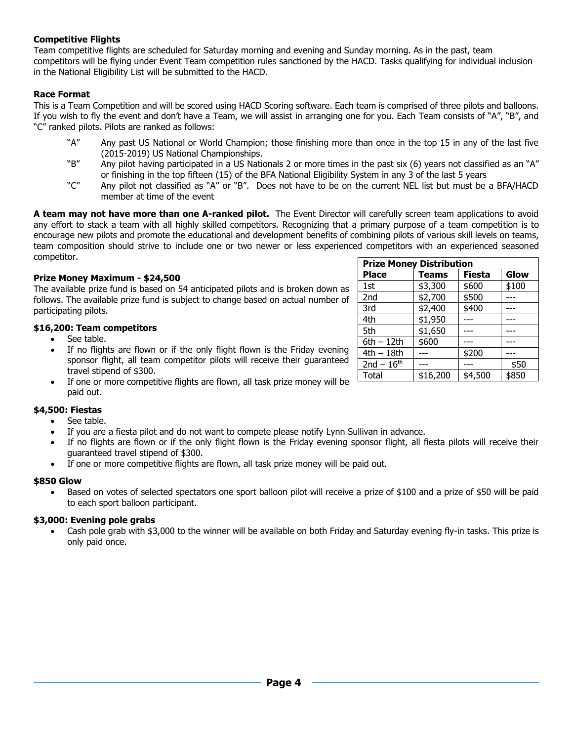# **Competitive Flights**

Team competitive flights are scheduled for Saturday morning and evening and Sunday morning. As in the past, team competitors will be flying under Event Team competition rules sanctioned by the HACD. Tasks qualifying for individual inclusion in the National Eligibility List will be submitted to the HACD.

## **Race Format**

This is a Team Competition and will be scored using HACD Scoring software. Each team is comprised of three pilots and balloons. If you wish to fly the event and don't have a Team, we will assist in arranging one for you. Each Team consists of "A", "B", and "C" ranked pilots. Pilots are ranked as follows:

- "A" Any past US National or World Champion; those finishing more than once in the top 15 in any of the last five (2015-2019) US National Championships.
- "B" Any pilot having participated in a US Nationals 2 or more times in the past six (6) years not classified as an "A" or finishing in the top fifteen (15) of the BFA National Eligibility System in any 3 of the last 5 years
- "C" Any pilot not classified as "A" or "B". Does not have to be on the current NEL list but must be a BFA/HACD member at time of the event

**A team may not have more than one A-ranked pilot.** The Event Director will carefully screen team applications to avoid any effort to stack a team with all highly skilled competitors. Recognizing that a primary purpose of a team competition is to encourage new pilots and promote the educational and development benefits of combining pilots of various skill levels on teams, team composition should strive to include one or two newer or less experienced competitors with an experienced seasoned competitor.

### **Prize Money Maximum - \$24,500**

The available prize fund is based on 54 anticipated pilots and is broken down as follows. The available prize fund is subject to change based on actual number of participating pilots.

### **\$16,200: Team competitors**

- See table.
- If no flights are flown or if the only flight flown is the Friday evening sponsor flight, all team competitor pilots will receive their guaranteed travel stipend of \$300.
- If one or more competitive flights are flown, all task prize money will be paid out.

### **\$4,500: Fiestas**

- See table.
- If you are a fiesta pilot and do not want to compete please notify Lynn Sullivan in advance.
- If no flights are flown or if the only flight flown is the Friday evening sponsor flight, all fiesta pilots will receive their guaranteed travel stipend of \$300.
- If one or more competitive flights are flown, all task prize money will be paid out.

### **\$850 Glow**

• Based on votes of selected spectators one sport balloon pilot will receive a prize of \$100 and a prize of \$50 will be paid to each sport balloon participant.

### **\$3,000: Evening pole grabs**

• Cash pole grab with \$3,000 to the winner will be available on both Friday and Saturday evening fly-in tasks. This prize is only paid once.

| <b>Prize Money Distribution</b> |          |               |       |
|---------------------------------|----------|---------------|-------|
| <b>Place</b>                    | Teams    | <b>Fiesta</b> | Glow  |
| 1st                             | \$3,300  | \$600         | \$100 |
| 2nd                             | \$2,700  | \$500         |       |
| 3rd                             | \$2,400  | \$400         |       |
| 4th                             | \$1,950  |               |       |
| 5th                             | \$1,650  |               |       |
| $6th - 12th$                    | \$600    |               |       |
| 4th - 18th                      |          | \$200         |       |
| $2nd - 16th$                    |          |               | \$50  |
| Total                           | \$16,200 | \$4,500       | \$850 |